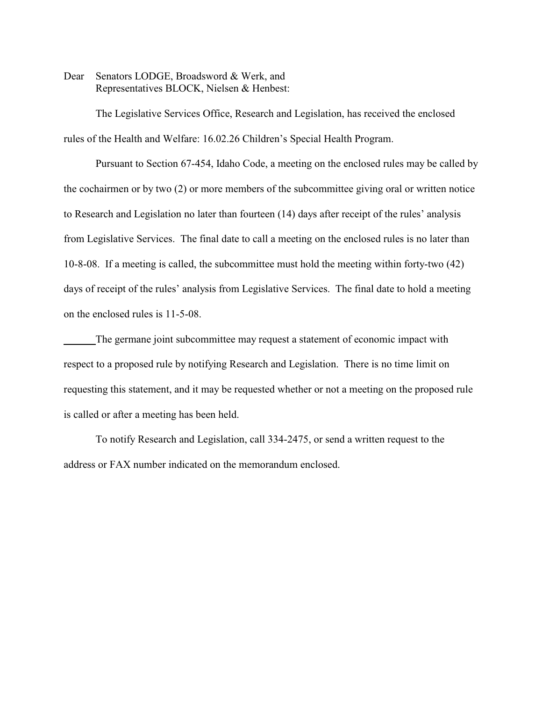Dear Senators LODGE, Broadsword & Werk, and Representatives BLOCK, Nielsen & Henbest:

The Legislative Services Office, Research and Legislation, has received the enclosed rules of the Health and Welfare: 16.02.26 Children's Special Health Program.

Pursuant to Section 67-454, Idaho Code, a meeting on the enclosed rules may be called by the cochairmen or by two (2) or more members of the subcommittee giving oral or written notice to Research and Legislation no later than fourteen (14) days after receipt of the rules' analysis from Legislative Services. The final date to call a meeting on the enclosed rules is no later than 10-8-08. If a meeting is called, the subcommittee must hold the meeting within forty-two (42) days of receipt of the rules' analysis from Legislative Services. The final date to hold a meeting on the enclosed rules is 11-5-08.

The germane joint subcommittee may request a statement of economic impact with respect to a proposed rule by notifying Research and Legislation. There is no time limit on requesting this statement, and it may be requested whether or not a meeting on the proposed rule is called or after a meeting has been held.

To notify Research and Legislation, call 334-2475, or send a written request to the address or FAX number indicated on the memorandum enclosed.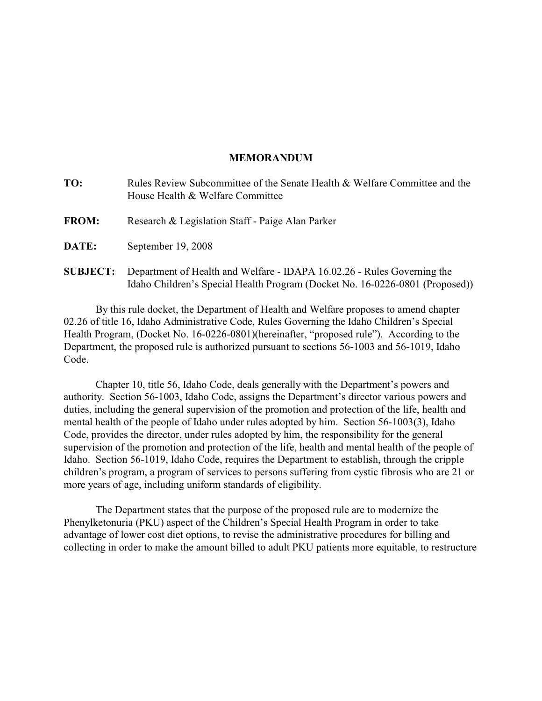## **MEMORANDUM**

| TO:             | Rules Review Subcommittee of the Senate Health & Welfare Committee and the<br>House Health & Welfare Committee                                          |
|-----------------|---------------------------------------------------------------------------------------------------------------------------------------------------------|
| <b>FROM:</b>    | Research & Legislation Staff - Paige Alan Parker                                                                                                        |
| <b>DATE:</b>    | September 19, 2008                                                                                                                                      |
| <b>SUBJECT:</b> | Department of Health and Welfare - IDAPA 16.02.26 - Rules Governing the<br>Idaho Children's Special Health Program (Docket No. 16-0226-0801 (Proposed)) |

By this rule docket, the Department of Health and Welfare proposes to amend chapter 02.26 of title 16, Idaho Administrative Code, Rules Governing the Idaho Children's Special Health Program, (Docket No. 16-0226-0801)(hereinafter, "proposed rule"). According to the Department, the proposed rule is authorized pursuant to sections 56-1003 and 56-1019, Idaho Code.

Chapter 10, title 56, Idaho Code, deals generally with the Department's powers and authority. Section 56-1003, Idaho Code, assigns the Department's director various powers and duties, including the general supervision of the promotion and protection of the life, health and mental health of the people of Idaho under rules adopted by him. Section 56-1003(3), Idaho Code, provides the director, under rules adopted by him, the responsibility for the general supervision of the promotion and protection of the life, health and mental health of the people of Idaho. Section 56-1019, Idaho Code, requires the Department to establish, through the cripple children's program, a program of services to persons suffering from cystic fibrosis who are 21 or more years of age, including uniform standards of eligibility.

The Department states that the purpose of the proposed rule are to modernize the Phenylketonuria (PKU) aspect of the Children's Special Health Program in order to take advantage of lower cost diet options, to revise the administrative procedures for billing and collecting in order to make the amount billed to adult PKU patients more equitable, to restructure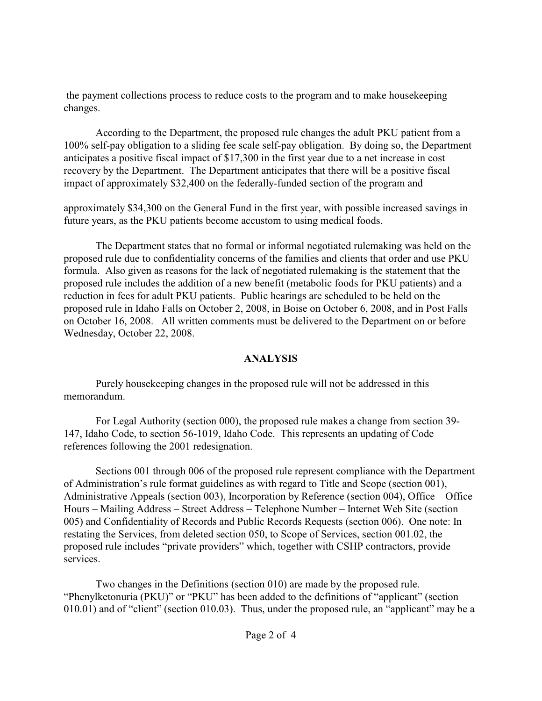the payment collections process to reduce costs to the program and to make housekeeping changes.

According to the Department, the proposed rule changes the adult PKU patient from a 100% self-pay obligation to a sliding fee scale self-pay obligation. By doing so, the Department anticipates a positive fiscal impact of \$17,300 in the first year due to a net increase in cost recovery by the Department. The Department anticipates that there will be a positive fiscal impact of approximately \$32,400 on the federally-funded section of the program and

approximately \$34,300 on the General Fund in the first year, with possible increased savings in future years, as the PKU patients become accustom to using medical foods.

The Department states that no formal or informal negotiated rulemaking was held on the proposed rule due to confidentiality concerns of the families and clients that order and use PKU formula. Also given as reasons for the lack of negotiated rulemaking is the statement that the proposed rule includes the addition of a new benefit (metabolic foods for PKU patients) and a reduction in fees for adult PKU patients. Public hearings are scheduled to be held on the proposed rule in Idaho Falls on October 2, 2008, in Boise on October 6, 2008, and in Post Falls on October 16, 2008. All written comments must be delivered to the Department on or before Wednesday, October 22, 2008.

# **ANALYSIS**

Purely housekeeping changes in the proposed rule will not be addressed in this memorandum.

For Legal Authority (section 000), the proposed rule makes a change from section 39- 147, Idaho Code, to section 56-1019, Idaho Code. This represents an updating of Code references following the 2001 redesignation.

Sections 001 through 006 of the proposed rule represent compliance with the Department of Administration's rule format guidelines as with regard to Title and Scope (section 001), Administrative Appeals (section 003), Incorporation by Reference (section 004), Office – Office Hours – Mailing Address – Street Address – Telephone Number – Internet Web Site (section 005) and Confidentiality of Records and Public Records Requests (section 006). One note: In restating the Services, from deleted section 050, to Scope of Services, section 001.02, the proposed rule includes "private providers" which, together with CSHP contractors, provide services.

Two changes in the Definitions (section 010) are made by the proposed rule. "Phenylketonuria (PKU)" or "PKU" has been added to the definitions of "applicant" (section 010.01) and of "client" (section 010.03). Thus, under the proposed rule, an "applicant" may be a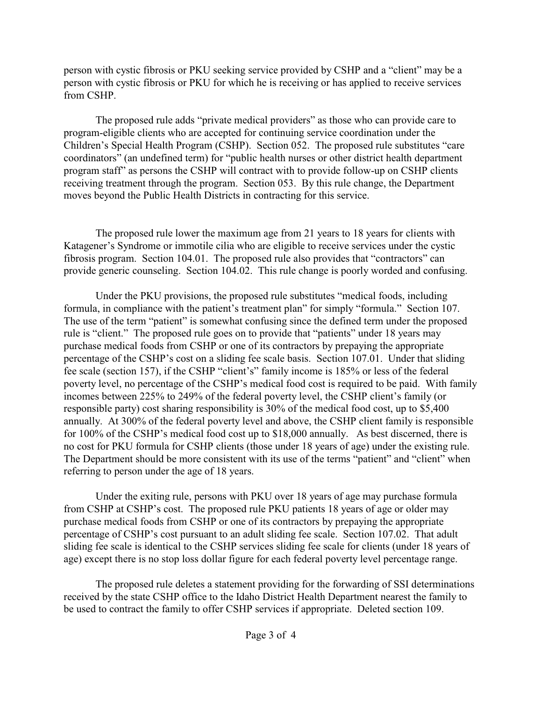person with cystic fibrosis or PKU seeking service provided by CSHP and a "client" may be a person with cystic fibrosis or PKU for which he is receiving or has applied to receive services from CSHP.

The proposed rule adds "private medical providers" as those who can provide care to program-eligible clients who are accepted for continuing service coordination under the Children's Special Health Program (CSHP). Section 052. The proposed rule substitutes "care coordinators" (an undefined term) for "public health nurses or other district health department program staff" as persons the CSHP will contract with to provide follow-up on CSHP clients receiving treatment through the program. Section 053. By this rule change, the Department moves beyond the Public Health Districts in contracting for this service.

The proposed rule lower the maximum age from 21 years to 18 years for clients with Katagener's Syndrome or immotile cilia who are eligible to receive services under the cystic fibrosis program. Section 104.01. The proposed rule also provides that "contractors" can provide generic counseling. Section 104.02. This rule change is poorly worded and confusing.

Under the PKU provisions, the proposed rule substitutes "medical foods, including formula, in compliance with the patient's treatment plan" for simply "formula." Section 107. The use of the term "patient" is somewhat confusing since the defined term under the proposed rule is "client." The proposed rule goes on to provide that "patients" under 18 years may purchase medical foods from CSHP or one of its contractors by prepaying the appropriate percentage of the CSHP's cost on a sliding fee scale basis. Section 107.01. Under that sliding fee scale (section 157), if the CSHP "client's" family income is 185% or less of the federal poverty level, no percentage of the CSHP's medical food cost is required to be paid. With family incomes between 225% to 249% of the federal poverty level, the CSHP client's family (or responsible party) cost sharing responsibility is 30% of the medical food cost, up to \$5,400 annually. At 300% of the federal poverty level and above, the CSHP client family is responsible for 100% of the CSHP's medical food cost up to \$18,000 annually. As best discerned, there is no cost for PKU formula for CSHP clients (those under 18 years of age) under the existing rule. The Department should be more consistent with its use of the terms "patient" and "client" when referring to person under the age of 18 years.

Under the exiting rule, persons with PKU over 18 years of age may purchase formula from CSHP at CSHP's cost. The proposed rule PKU patients 18 years of age or older may purchase medical foods from CSHP or one of its contractors by prepaying the appropriate percentage of CSHP's cost pursuant to an adult sliding fee scale. Section 107.02. That adult sliding fee scale is identical to the CSHP services sliding fee scale for clients (under 18 years of age) except there is no stop loss dollar figure for each federal poverty level percentage range.

The proposed rule deletes a statement providing for the forwarding of SSI determinations received by the state CSHP office to the Idaho District Health Department nearest the family to be used to contract the family to offer CSHP services if appropriate. Deleted section 109.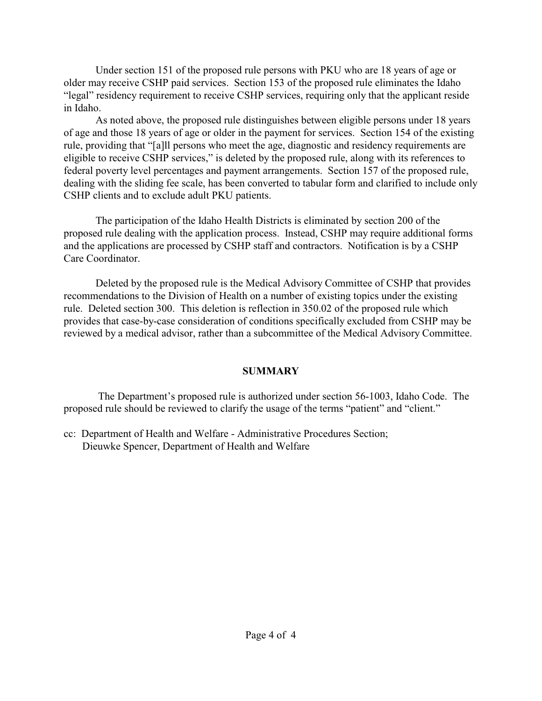Under section 151 of the proposed rule persons with PKU who are 18 years of age or older may receive CSHP paid services. Section 153 of the proposed rule eliminates the Idaho "legal" residency requirement to receive CSHP services, requiring only that the applicant reside in Idaho.

As noted above, the proposed rule distinguishes between eligible persons under 18 years of age and those 18 years of age or older in the payment for services. Section 154 of the existing rule, providing that "[a]ll persons who meet the age, diagnostic and residency requirements are eligible to receive CSHP services," is deleted by the proposed rule, along with its references to federal poverty level percentages and payment arrangements. Section 157 of the proposed rule, dealing with the sliding fee scale, has been converted to tabular form and clarified to include only CSHP clients and to exclude adult PKU patients.

The participation of the Idaho Health Districts is eliminated by section 200 of the proposed rule dealing with the application process. Instead, CSHP may require additional forms and the applications are processed by CSHP staff and contractors. Notification is by a CSHP Care Coordinator.

Deleted by the proposed rule is the Medical Advisory Committee of CSHP that provides recommendations to the Division of Health on a number of existing topics under the existing rule. Deleted section 300. This deletion is reflection in 350.02 of the proposed rule which provides that case-by-case consideration of conditions specifically excluded from CSHP may be reviewed by a medical advisor, rather than a subcommittee of the Medical Advisory Committee.

## **SUMMARY**

 The Department's proposed rule is authorized under section 56-1003, Idaho Code. The proposed rule should be reviewed to clarify the usage of the terms "patient" and "client."

cc: Department of Health and Welfare - Administrative Procedures Section; Dieuwke Spencer, Department of Health and Welfare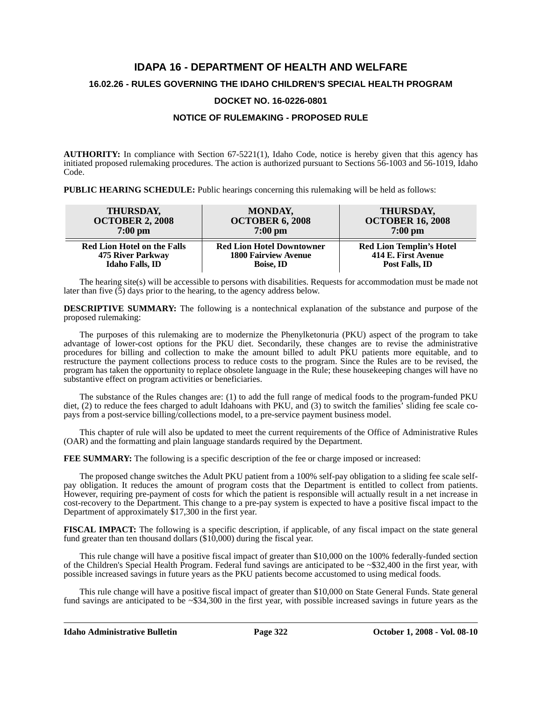# **IDAPA 16 - DEPARTMENT OF HEALTH AND WELFARE 16.02.26 - RULES GOVERNING THE IDAHO CHILDREN'S SPECIAL HEALTH PROGRAM**

## **DOCKET NO. 16-0226-0801**

## **NOTICE OF RULEMAKING - PROPOSED RULE**

**AUTHORITY:** In compliance with Section 67-5221(1), Idaho Code, notice is hereby given that this agency has initiated proposed rulemaking procedures. The action is authorized pursuant to Sections 56-1003 and 56-1019, Idaho Code.

**PUBLIC HEARING SCHEDULE:** Public hearings concerning this rulemaking will be held as follows:

| <b>THURSDAY,</b>                   | <b>MONDAY,</b>                   | THURSDAY,                       |
|------------------------------------|----------------------------------|---------------------------------|
| <b>OCTOBER 2, 2008</b>             | <b>OCTOBER 6, 2008</b>           | <b>OCTOBER 16, 2008</b>         |
| $7:00$ pm                          | $7:00 \text{ pm}$                | $7:00 \text{ pm}$               |
| <b>Red Lion Hotel on the Falls</b> | <b>Red Lion Hotel Downtowner</b> | <b>Red Lion Templin's Hotel</b> |
| <b>475 River Parkway</b>           | <b>1800 Fairview Avenue</b>      | 414 E. First Avenue             |
| <b>Idaho Falls, ID</b>             | Boise, ID                        | Post Falls, ID                  |

The hearing site(s) will be accessible to persons with disabilities. Requests for accommodation must be made not later than five  $(5)$  days prior to the hearing, to the agency address below.

**DESCRIPTIVE SUMMARY:** The following is a nontechnical explanation of the substance and purpose of the proposed rulemaking:

The purposes of this rulemaking are to modernize the Phenylketonuria (PKU) aspect of the program to take advantage of lower-cost options for the PKU diet. Secondarily, these changes are to revise the administrative procedures for billing and collection to make the amount billed to adult PKU patients more equitable, and to restructure the payment collections process to reduce costs to the program. Since the Rules are to be revised, the program has taken the opportunity to replace obsolete language in the Rule; these housekeeping changes will have no substantive effect on program activities or beneficiaries.

The substance of the Rules changes are: (1) to add the full range of medical foods to the program-funded PKU diet, (2) to reduce the fees charged to adult Idahoans with PKU, and (3) to switch the families' sliding fee scale copays from a post-service billing/collections model, to a pre-service payment business model.

This chapter of rule will also be updated to meet the current requirements of the Office of Administrative Rules (OAR) and the formatting and plain language standards required by the Department.

**FEE SUMMARY:** The following is a specific description of the fee or charge imposed or increased:

The proposed change switches the Adult PKU patient from a 100% self-pay obligation to a sliding fee scale selfpay obligation. It reduces the amount of program costs that the Department is entitled to collect from patients. However, requiring pre-payment of costs for which the patient is responsible will actually result in a net increase in cost-recovery to the Department. This change to a pre-pay system is expected to have a positive fiscal impact to the Department of approximately \$17,300 in the first year.

**FISCAL IMPACT:** The following is a specific description, if applicable, of any fiscal impact on the state general fund greater than ten thousand dollars (\$10,000) during the fiscal year.

This rule change will have a positive fiscal impact of greater than \$10,000 on the 100% federally-funded section of the Children's Special Health Program. Federal fund savings are anticipated to be ~\$32,400 in the first year, with possible increased savings in future years as the PKU patients become accustomed to using medical foods.

This rule change will have a positive fiscal impact of greater than \$10,000 on State General Funds. State general fund savings are anticipated to be  $\sim$  \$34,300 in the first year, with possible increased savings in future years as the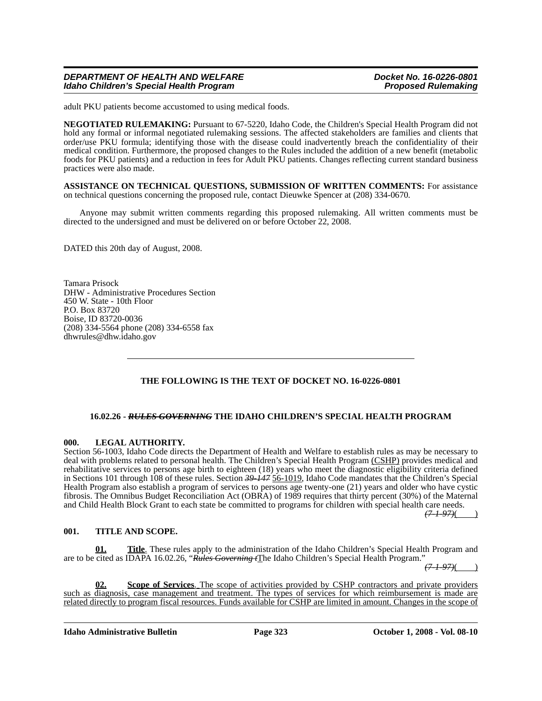## *DEPARTMENT OF HEALTH AND WELFARE Docket No. 16-0226-0801 Idaho Children's Special Health Program*

adult PKU patients become accustomed to using medical foods.

**NEGOTIATED RULEMAKING:** Pursuant to 67-5220, Idaho Code, the Children's Special Health Program did not hold any formal or informal negotiated rulemaking sessions. The affected stakeholders are families and clients that order/use PKU formula; identifying those with the disease could inadvertently breach the confidentiality of their medical condition. Furthermore, the proposed changes to the Rules included the addition of a new benefit (metabolic foods for PKU patients) and a reduction in fees for Adult PKU patients. Changes reflecting current standard business practices were also made.

**ASSISTANCE ON TECHNICAL QUESTIONS, SUBMISSION OF WRITTEN COMMENTS:** For assistance on technical questions concerning the proposed rule, contact Dieuwke Spencer at (208) 334-0670*.*

Anyone may submit written comments regarding this proposed rulemaking. All written comments must be directed to the undersigned and must be delivered on or before October 22, 2008.

DATED this 20th day of August, 2008.

Tamara Prisock DHW - Administrative Procedures Section 450 W. State - 10th Floor P.O. Box 83720 Boise, ID 83720-0036 (208) 334-5564 phone (208) 334-6558 fax <dhwrules@dhw.idaho.gov>

## **THE FOLLOWING IS THE TEXT OF DOCKET NO. 16-0226-0801**

### **16.02.26 -** *RULES GOVERNING* **THE IDAHO CHILDREN'S SPECIAL HEALTH PROGRAM**

### **000. LEGAL AUTHORITY.**

Section 56-1003, Idaho Code directs the Department of Health and Welfare to establish rules as may be necessary to deal with problems related to personal health. The Children's Special Health Program (CSHP) provides medical and rehabilitative services to persons age birth to eighteen (18) years who meet the diagnostic eligibility criteria defined in Sections 101 through 108 of these rules. Section *39-147* 56-1019, Idaho Code mandates that the Children's Special Health Program also establish a program of services to persons age twenty-one (21) years and older who have cystic fibrosis. The Omnibus Budget Reconciliation Act (OBRA) of 1989 requires that thirty percent (30%) of the Maternal and Child Health Block Grant to each state be committed to programs for children with special health care needs.

*(7-1-97)*( )

## **001. TITLE AND SCOPE.**

**01. Title**. These rules apply to the administration of the Idaho Children's Special Health Program and are to be cited as IDAPA 16.02.26, "*Rules Governing t*The Idaho Children's Special Health Program."

*(7-1-97)*( )

**02. Scope of Services**. The scope of activities provided by CSHP contractors and private providers such as diagnosis, case management and treatment. The types of services for which reimbursement is made are related directly to program fiscal resources. Funds available for CSHP are limited in amount. Changes in the scope of

**Idaho Administrative Bulletin Page 323 October 1, 2008 - Vol. 08-10**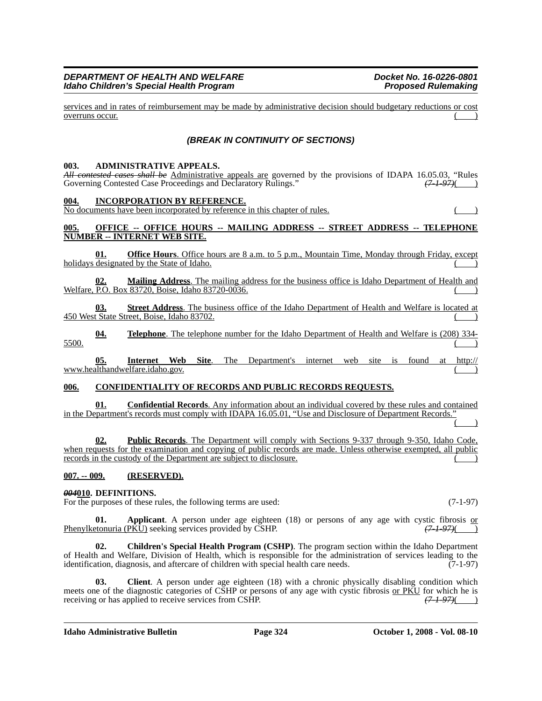## *DEPARTMENT OF HEALTH AND WELFARE Docket No. 16-0226-0801 Idaho Children's Special Health Program*

services and in rates of reimbursement may be made by administrative decision should budgetary reductions or cost overruns occur.

## *(BREAK IN CONTINUITY OF SECTIONS)*

### **003. ADMINISTRATIVE APPEALS.**

*All contested cases shall be* Administrative appeals are governed by the provisions of IDAPA 16.05.03, "Rules Governing Contested Case Proceedings and Declaratory Rulings." (7-1-97) Governing Contested Case Proceedings and Declaratory Rulings."

#### **004. INCORPORATION BY REFERENCE.**

No documents have been incorporated by reference in this chapter of rules. ( )

### **005. OFFICE -- OFFICE HOURS -- MAILING ADDRESS -- STREET ADDRESS -- TELEPHONE NUMBER -- INTERNET WEB SITE.**

**<u>Office Hours**</u>. Office hours are 8 a.m. to 5 p.m., Mountain Time, Monday through Friday, except holidays designated by the State of Idaho.  $($ 

**02. Mailing Address**. The mailing address for the business office is Idaho Department of Health and Welfare, P.O. Box 83720, Boise, Idaho 83720-0036.

**03. Street Address**. The business office of the Idaho Department of Health and Welfare is located at 450 West State Street, Boise, Idaho 83702.

**04. Telephone**. The telephone number for the Idaho Department of Health and Welfare is (208) 334-  $\frac{5500}{1}$ 

**05. Internet Web Site**[. The Department's internet web site is found at http://](http://www.healthandwelfare.idaho.gov) [www.healthandwelfare.idaho.gov.](http://www.healthandwelfare.idaho.gov)

### **006. CONFIDENTIALITY OF RECORDS AND PUBLIC RECORDS REQUESTS.**

**01. Confidential Records**. Any information about an individual covered by these rules and contained in the Department's records must comply with IDAPA 16.05.01, "Use and Disclosure of Department Records."  $($  )

**02. Public Records**. The Department will comply with Sections 9-337 through 9-350, Idaho Code, when requests for the examination and copying of public records are made. Unless otherwise exempted, all public records in the custody of the Department are subject to disclosure.

### **007. -- 009. (RESERVED).**

### *004***010. DEFINITIONS.**

For the purposes of these rules, the following terms are used: (7-1-97)

**01. Applicant**. A person under age eighteen (18) or persons of any age with cystic fibrosis or etonuria (PKU) seeking services provided by CSHP.  $\frac{(7-1-97)()}{(7-1-97)()}$ Phenylketonuria (PKU) seeking services provided by CSHP.

**02. Children's Special Health Program (CSHP)**. The program section within the Idaho Department of Health and Welfare, Division of Health, which is responsible for the administration of services leading to the identification, diagnosis, and aftercare of children with special health care needs. (7-1-97) identification, diagnosis, and aftercare of children with special health care needs.

**03. Client**. A person under age eighteen (18) with a chronic physically disabling condition which meets one of the diagnostic categories of CSHP or persons of any age with cystic fibrosis <u>or PKU</u> for which he is receiving or has applied to receive services from CSHP.  $(7-1-97)($ receiving or has applied to receive services from CSHP.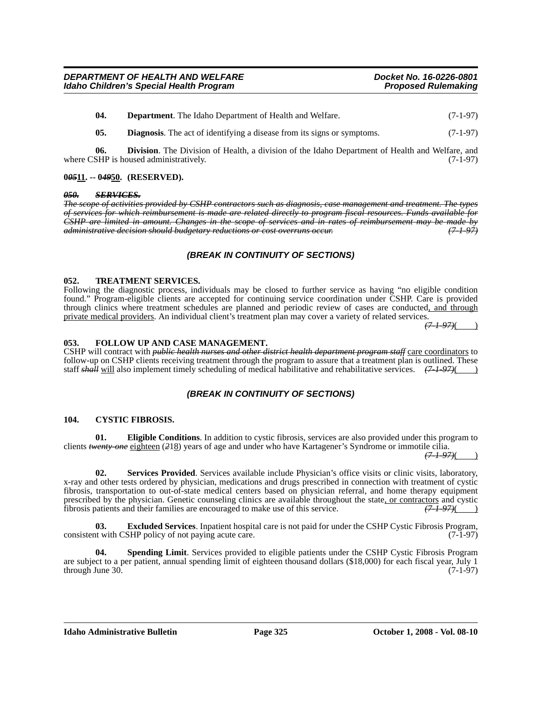**04. Department**. The Idaho Department of Health and Welfare. (7-1-97)

**05. Diagnosis**. The act of identifying a disease from its signs or symptoms. (7-1-97)

**06. Division**. The Division of Health, a division of the Idaho Department of Health and Welfare, and SHP is housed administratively. (7-1-97) where CSHP is housed administratively.

## **0***05***11. -- 0***49***50. (RESERVED).**

### *050. SERVICES.*

*The scope of activities provided by CSHP contractors such as diagnosis, case management and treatment. The types of services for which reimbursement is made are related directly to program fiscal resources. Funds available for CSHP are limited in amount. Changes in the scope of services and in rates of reimbursement may be made by administrative decision should budgetary reductions or cost overruns occur. (7-1-97)*

## *(BREAK IN CONTINUITY OF SECTIONS)*

## **052. TREATMENT SERVICES.**

Following the diagnostic process, individuals may be closed to further service as having "no eligible condition found." Program-eligible clients are accepted for continuing service coordination under CSHP. Care is provided through clinics where treatment schedules are planned and periodic review of cases are conducted, and through private medical providers. An individual client's treatment plan may cover a variety of related services.

*(7-1-97)*( )

## **053. FOLLOW UP AND CASE MANAGEMENT.**

CSHP will contract with *public health nurses and other district health department program staff* care coordinators to follow-up on CSHP clients receiving treatment through the program to assure that a treatment plan is outlined. These staff *shall* will also implement timely scheduling of medical habilitative and rehabilitative services.  $(7-1-97)()$ 

## *(BREAK IN CONTINUITY OF SECTIONS)*

### **104. CYSTIC FIBROSIS.**

**01. Eligible Conditions**. In addition to cystic fibrosis, services are also provided under this program to clients *twenty-one* eighteen (*2*18) years of age and under who have Kartagener's Syndrome or immotile cilia.

*(7-1-97)*( )

**02. Services Provided**. Services available include Physician's office visits or clinic visits, laboratory, x-ray and other tests ordered by physician, medications and drugs prescribed in connection with treatment of cystic fibrosis, transportation to out-of-state medical centers based on physician referral, and home therapy equipment prescribed by the physician. Genetic counseling clinics are available throughout the state, or contractors and cystic<br>fibrosis patients and their families are encouraged to make use of this service.  $(71.97)()$ fibrosis patients and their families are encouraged to make use of this service. *(7-1-97)*( )

**03. Excluded Services**. Inpatient hospital care is not paid for under the CSHP Cystic Fibrosis Program, consistent with CSHP policy of not paying acute care. (7-1-97)

**04. Spending Limit**. Services provided to eligible patients under the CSHP Cystic Fibrosis Program are subject to a per patient, annual spending limit of eighteen thousand dollars (\$18,000) for each fiscal year, July 1 through June 30.  $(7-1-97)$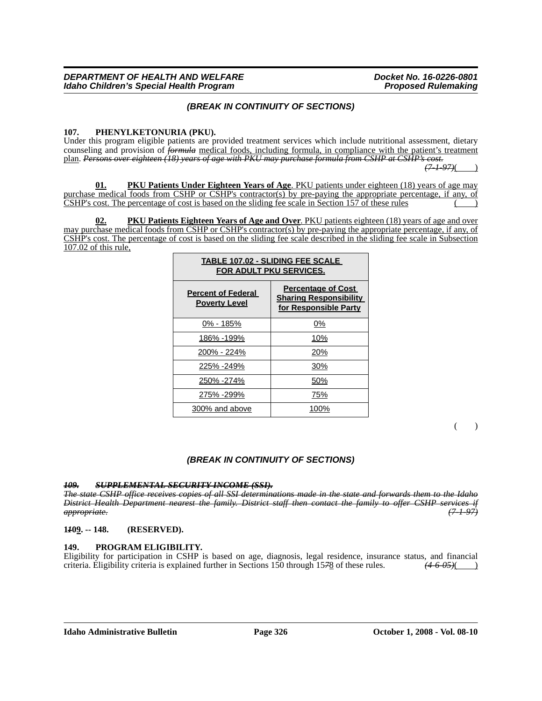## *(BREAK IN CONTINUITY OF SECTIONS)*

### **107. PHENYLKETONURIA (PKU).**

Under this program eligible patients are provided treatment services which include nutritional assessment, dietary counseling and provision of *formula* medical foods, including formula, in compliance with the patient's treatment plan. *Persons over eighteen (18) years of age with PKU may purchase formula from CSHP at CSHP's cost.*

*(7-1-97)*( )

**01. PKU Patients Under Eighteen Years of Age**. PKU patients under eighteen (18) years of age may purchase medical foods from CSHP or CSHP's contractor(s) by pre-paying the appropriate percentage, if any, of  $\overline{CSHP}$ 's cost. The percentage of cost is based on the sliding fee scale in Section 157 of these rules

**PKU Patients Eighteen Years of Age and Over**. PKU patients eighteen (18) years of age and over may purchase medical foods from CSHP or CSHP's contractor(s) by pre-paying the appropriate percentage, if any, of CSHP's cost. The percentage of cost is based on the sliding fee scale described in the sliding fee scale in Subsection 107.02 of this rule,

| <b>TABLE 107.02 - SLIDING FEE SCALE</b><br><b>FOR ADULT PKU SERVICES.</b> |                                                                                     |  |  |  |
|---------------------------------------------------------------------------|-------------------------------------------------------------------------------------|--|--|--|
| <b>Percent of Federal</b><br><b>Poverty Level</b>                         | <b>Percentage of Cost</b><br><b>Sharing Responsibility</b><br>for Responsible Party |  |  |  |
| 0% - 185%                                                                 | 0%                                                                                  |  |  |  |
| 186% -199%                                                                | 10%                                                                                 |  |  |  |
| 200% - 224%                                                               | 20%                                                                                 |  |  |  |
| 225% -249%                                                                | 30%                                                                                 |  |  |  |
| 250% -274%                                                                | 50%                                                                                 |  |  |  |
| 275% -299%                                                                | 75%                                                                                 |  |  |  |
| 300% and above                                                            | 100%                                                                                |  |  |  |

 $\lambda$ 

## *(BREAK IN CONTINUITY OF SECTIONS)*

### *109. SUPPLEMENTAL SECURITY INCOME (SSI).*

*The state CSHP office receives copies of all SSI determinations made in the state and forwards them to the Idaho District Health Department nearest the family. District staff then contact the family to offer CSHP services if appropriate. (7-1-97)*

### **1***1***09. -- 148. (RESERVED).**

## **149. PROGRAM ELIGIBILITY.**

Eligibility for participation in CSHP is based on age, diagnosis, legal residence, insurance status, and financial criteria. Eligibility criteria is explained further in Sections 150 through 15*7*8 of these rules. *(4-6-05)*( )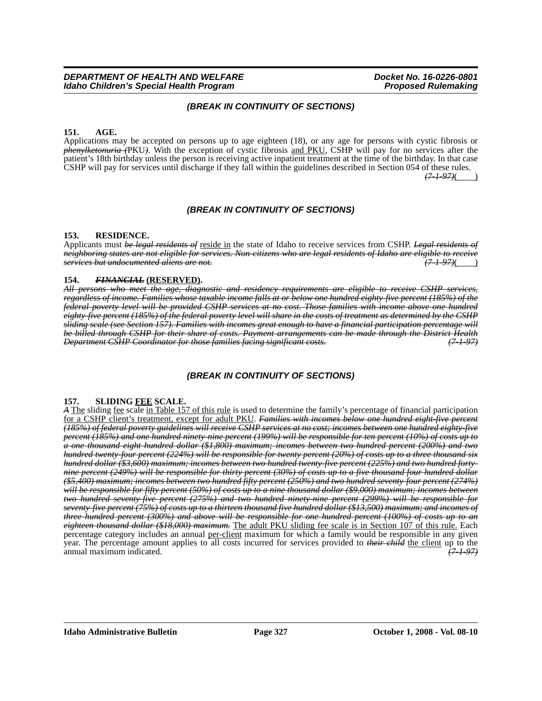## *(BREAK IN CONTINUITY OF SECTIONS)*

## **151. AGE.**

Applications may be accepted on persons up to age eighteen (18), or any age for persons with cystic fibrosis or *phenylketonuria (*PKU*)*. With the exception of cystic fibrosis and PKU, CSHP will pay for no services after the patient's 18th birthday unless the person is receiving active inpatient treatment at the time of the birthday. In that case CSHP will pay for services until discharge if they fall within the guidelines described in Section 054 of these rules.

*(7-1-97)*( )

## *(BREAK IN CONTINUITY OF SECTIONS)*

## **153. RESIDENCE.**

Applicants must *be legal residents of* reside in the state of Idaho to receive services from CSHP. *Legal residents of neighboring states are not eligible for services. Non-citizens who are legal residents of Idaho are eligible to receive services but undocumented aliens are not.* 

## **154.** *FINANCIAL* **(RESERVED).**

*All persons who meet the age, diagnostic and residency requirements are eligible to receive CSHP services, regardless of income. Families whose taxable income falls at or below one hundred eighty-five percent (185%) of the federal poverty level will be provided CSHP services at no cost. Those families with income above one hundred eighty-five percent (185%) of the federal poverty level will share in the costs of treatment as determined by the CSHP sliding scale (see Section 157). Families with incomes great enough to have a financial participation percentage will be billed through CSHP for their share of costs. Payment arrangements can be made through the District Health Department CSHP Coordinator for those families facing significant costs.* 

## *(BREAK IN CONTINUITY OF SECTIONS)*

## **157. SLIDING FEE SCALE.**

*A* The sliding fee scale in Table 157 of this rule is used to determine the family's percentage of financial participation for a CSHP client's treatment, except for adult PKU. *Families with incomes below one hundred eight-five percent (185%) of federal poverty guidelines will receive CSHP services at no cost; incomes between one hundred eighty-five percent (185%) and one hundred ninety-nine percent (199%) will be responsible for ten percent (10%) of costs up to a one thousand eight hundred dollar (\$1,800) maximum; incomes between two hundred percent (200%) and two hundred twenty-four percent (224%) will be responsible for twenty percent (20%) of costs up to a three thousand six hundred dollar (\$3,600) maximum; incomes between two hundred twenty-five percent (225%) and two hundred fortynine percent (249%) will be responsible for thirty percent (30%) of costs up to a five thousand four hundred dollar (\$5,400) maximum; incomes between two hundred fifty percent (250%) and two hundred seventy-four percent (274%) will be responsible for fifty percent (50%) of costs up to a nine thousand dollar (\$9,000) maximum; incomes between two hundred seventy-five percent (275%) and two hundred ninety-nine percent (299%) will be responsible for seventy-five percent (75%) of costs up to a thirteen thousand five hundred dollar (\$13,500) maximum; and incomes of three hundred percent (300%) and above will be responsible for one hundred percent (100%) of costs up to an eighteen thousand dollar (\$18,000) maximum.* The adult PKU sliding fee scale is in Section 107 of this rule. Each percentage category includes an annual per-client maximum for which a family would be responsible in any given year. The percentage amount applies to all costs incurred for services provided to *their child* the client up to the annual maximum indicated. *(7-1-97)*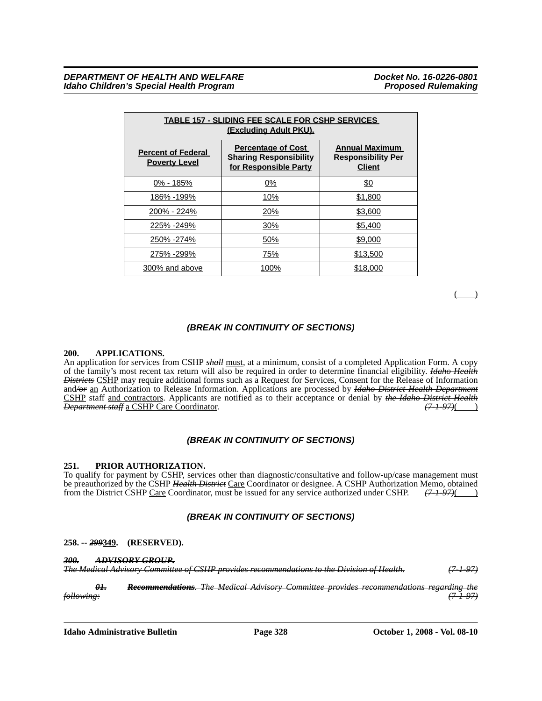| <b>TABLE 157 - SLIDING FEE SCALE FOR CSHP SERVICES</b><br><b>(Excluding Adult PKU).</b> |                                                                                     |                                                                     |  |  |  |  |
|-----------------------------------------------------------------------------------------|-------------------------------------------------------------------------------------|---------------------------------------------------------------------|--|--|--|--|
| <b>Percent of Federal</b><br><b>Poverty Level</b>                                       | <b>Percentage of Cost</b><br><b>Sharing Responsibility</b><br>for Responsible Party | <b>Annual Maximum</b><br><b>Responsibility Per</b><br><b>Client</b> |  |  |  |  |
| 0% - 185%                                                                               | 0%                                                                                  | \$0                                                                 |  |  |  |  |
| 186% -199%                                                                              | 10%                                                                                 | \$1,800                                                             |  |  |  |  |
| 200% - 224%                                                                             | 20%                                                                                 | \$3,600                                                             |  |  |  |  |
| 225% -249%                                                                              | 30%                                                                                 | \$5,400                                                             |  |  |  |  |
| 250% -274%                                                                              | 50%                                                                                 | \$9,000                                                             |  |  |  |  |
| 275% -299%                                                                              | 75%                                                                                 | \$13,500                                                            |  |  |  |  |
| 300% and above                                                                          | 100%                                                                                | \$18,000                                                            |  |  |  |  |

( )

## *(BREAK IN CONTINUITY OF SECTIONS)*

### **200. APPLICATIONS.**

An application for services from CSHP *shall* must, at a minimum, consist of a completed Application Form. A copy of the family's most recent tax return will also be required in order to determine financial eligibility. *Idaho Health Districts* CSHP may require additional forms such as a Request for Services, Consent for the Release of Information and*/or* an Authorization to Release Information. Applications are processed by *Idaho District Health Department* CSHP staff and contractors. Applicants are notified as to their acceptance or denial by *the Idaho District Health Department staff* a CSHP Care Coordinator.

## *(BREAK IN CONTINUITY OF SECTIONS)*

### **251. PRIOR AUTHORIZATION.**

To qualify for payment by CSHP, services other than diagnostic/consultative and follow-up/case management must be preauthorized by the CSHP *Health District* Care Coordinator or designee. A CSHP Authorization Memo, obtained from the District CSHP Care Coordinator, must be issued for any service authorized under CSHP. *(7-1-97)*( )

## *(BREAK IN CONTINUITY OF SECTIONS)*

### **258. --** *299***349. (RESERVED).**

*300. ADVISORY GROUP. The Medical Advisory Committee of CSHP provides recommendations to the Division of Health. (7-1-97)*

*01. Recommendations. The Medical Advisory Committee provides recommendations regarding the following: (7-1-97)*

**Idaho Administrative Bulletin Page 328 October 1, 2008 - Vol. 08-10**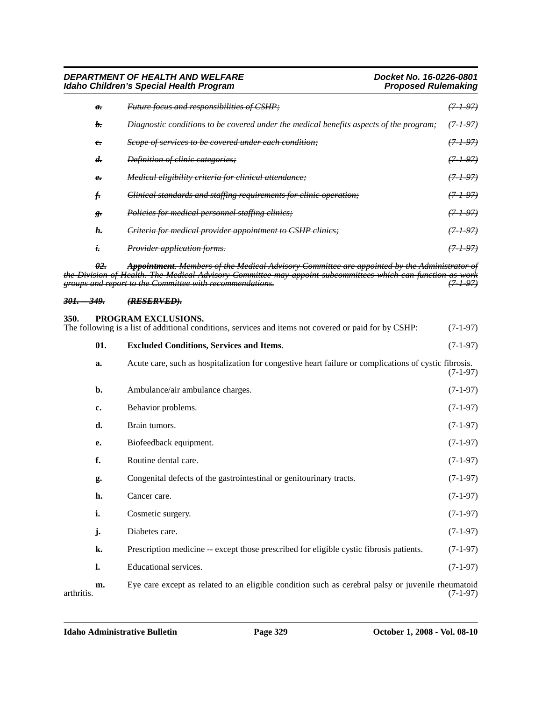*DEPARTMENT OF HEALTH AND WELFARE Docket No. 16-0226-0801 Idaho Children's Special Health Program* 

| $\theta$ .     | <i>Future focus and responsibilities of CSHP;</i>                                      | <del>(7-1-97)</del> |
|----------------|----------------------------------------------------------------------------------------|---------------------|
| b.             | Diagnostic conditions to be covered under the medical benefits aspects of the program; | <del>(7-1-97)</del> |
| $\epsilon$     | Scope of services to be covered under each condition;                                  | (7197)              |
| d <del>.</del> | <i>Definition of clinic categories;</i>                                                | <del>(7-1-97)</del> |
| $\epsilon$     | <i>Medical eligibility criteria for clinical attendance</i> :                          | <del>(7-1-97)</del> |
| t.             | Clinical standards and staffing requirements for clinic operation;                     | (7197)              |
| ε.             | <i>Policies for medical personnel staffing clinics;</i>                                | <del>(7-1-97)</del> |
| h.             | Criteria for medical provider appointment to CSHP clinics;                             | <del>(7-1-97)</del> |
| ı.             | Provider application forms.                                                            | <del>(7 1 97)</del> |

*02. Appointment. Members of the Medical Advisory Committee are appointed by the Administrator of the Division of Health. The Medical Advisory Committee may appoint subcommittees which can function as work groups and report to the Committee with recommendations. (7-1-97)*

### *301. -- 349. (RESERVED).*

# **350. PROGRAM EXCLUSIONS.** The following is a list of additional conditions, services and items not covered or paid for by CSHP: (7-1-97) **01. Excluded Conditions, Services and Items**. (7-1-97) **a.** Acute care, such as hospitalization for congestive heart failure or complications of cystic fibrosis. (7-1-97) **b.** Ambulance/air ambulance charges. (7-1-97) **c.** Behavior problems. (7-1-97) **d.** Brain tumors. (7-1-97) **e.** Biofeedback equipment. (7-1-97) **f.** Routine dental care. (7-1-97) **g.** Congenital defects of the gastrointestinal or genitourinary tracts. (7-1-97) **h.** Cancer care. (7-1-97) **i.** Cosmetic surgery. (7-1-97) **j.** Diabetes care. (7-1-97) **k.** Prescription medicine -- except those prescribed for eligible cystic fibrosis patients. (7-1-97) **l.** Educational services. (7-1-97)

**m.** Eye care except as related to an eligible condition such as cerebral palsy or juvenile rheumatoid (7-1-97) arthritis. (7-1-97)